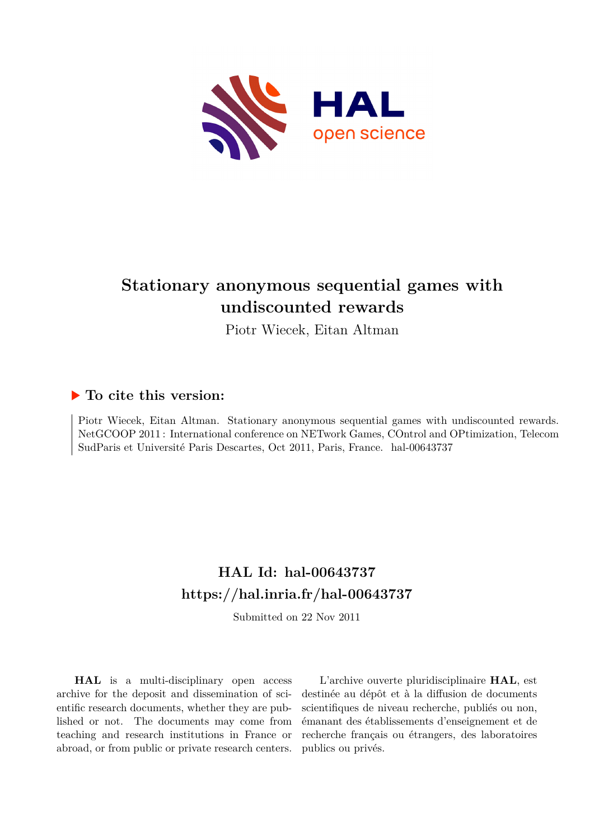

# **Stationary anonymous sequential games with undiscounted rewards**

Piotr Wiecek, Eitan Altman

### **To cite this version:**

Piotr Wiecek, Eitan Altman. Stationary anonymous sequential games with undiscounted rewards. NetGCOOP 2011 : International conference on NETwork Games, COntrol and OPtimization, Telecom SudParis et Université Paris Descartes, Oct 2011, Paris, France. hal-00643737

## **HAL Id: hal-00643737 <https://hal.inria.fr/hal-00643737>**

Submitted on 22 Nov 2011

**HAL** is a multi-disciplinary open access archive for the deposit and dissemination of scientific research documents, whether they are published or not. The documents may come from teaching and research institutions in France or abroad, or from public or private research centers.

L'archive ouverte pluridisciplinaire **HAL**, est destinée au dépôt et à la diffusion de documents scientifiques de niveau recherche, publiés ou non, émanant des établissements d'enseignement et de recherche français ou étrangers, des laboratoires publics ou privés.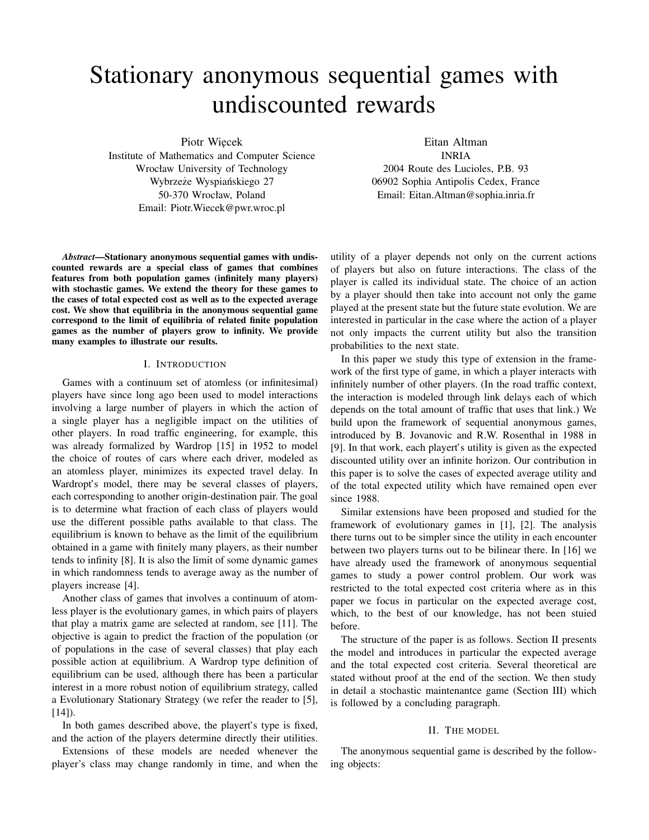# Stationary anonymous sequential games with undiscounted rewards

Piotr Wiecek

Institute of Mathematics and Computer Science Wrocław University of Technology Wybrzeże Wyspiańskiego 27 50-370 Wrocław, Poland Email: Piotr.Wiecek@pwr.wroc.pl

*Abstract***—Stationary anonymous sequential games with undiscounted rewards are a special class of games that combines features from both population games (infinitely many players) with stochastic games. We extend the theory for these games to the cases of total expected cost as well as to the expected average cost. We show that equilibria in the anonymous sequential game correspond to the limit of equilibria of related finite population games as the number of players grow to infinity. We provide many examples to illustrate our results.**

#### I. INTRODUCTION

Games with a continuum set of atomless (or infinitesimal) players have since long ago been used to model interactions involving a large number of players in which the action of a single player has a negligible impact on the utilities of other players. In road traffic engineering, for example, this was already formalized by Wardrop [15] in 1952 to model the choice of routes of cars where each driver, modeled as an atomless player, minimizes its expected travel delay. In Wardropt's model, there may be several classes of players, each corresponding to another origin-destination pair. The goal is to determine what fraction of each class of players would use the different possible paths available to that class. The equilibrium is known to behave as the limit of the equilibrium obtained in a game with finitely many players, as their number tends to infinity [8]. It is also the limit of some dynamic games in which randomness tends to average away as the number of players increase [4].

Another class of games that involves a continuum of atomless player is the evolutionary games, in which pairs of players that play a matrix game are selected at random, see [11]. The objective is again to predict the fraction of the population (or of populations in the case of several classes) that play each possible action at equilibrium. A Wardrop type definition of equilibrium can be used, although there has been a particular interest in a more robust notion of equilibrium strategy, called a Evolutionary Stationary Strategy (we refer the reader to [5], [14]).

In both games described above, the playert's type is fixed, and the action of the players determine directly their utilities.

Extensions of these models are needed whenever the player's class may change randomly in time, and when the Eitan Altman

INRIA 2004 Route des Lucioles, P.B. 93 06902 Sophia Antipolis Cedex, France Email: Eitan.Altman@sophia.inria.fr

utility of a player depends not only on the current actions of players but also on future interactions. The class of the player is called its individual state. The choice of an action by a player should then take into account not only the game played at the present state but the future state evolution. We are interested in particular in the case where the action of a player not only impacts the current utility but also the transition probabilities to the next state.

In this paper we study this type of extension in the framework of the first type of game, in which a player interacts with infinitely number of other players. (In the road traffic context, the interaction is modeled through link delays each of which depends on the total amount of traffic that uses that link.) We build upon the framework of sequential anonymous games, introduced by B. Jovanovic and R.W. Rosenthal in 1988 in [9]. In that work, each playert's utility is given as the expected discounted utility over an infinite horizon. Our contribution in this paper is to solve the cases of expected average utility and of the total expected utility which have remained open ever since 1988.

Similar extensions have been proposed and studied for the framework of evolutionary games in [1], [2]. The analysis there turns out to be simpler since the utility in each encounter between two players turns out to be bilinear there. In [16] we have already used the framework of anonymous sequential games to study a power control problem. Our work was restricted to the total expected cost criteria where as in this paper we focus in particular on the expected average cost, which, to the best of our knowledge, has not been stuied before.

The structure of the paper is as follows. Section II presents the model and introduces in particular the expected average and the total expected cost criteria. Several theoretical are stated without proof at the end of the section. We then study in detail a stochastic maintenantce game (Section III) which is followed by a concluding paragraph.

#### II. THE MODEL

The anonymous sequential game is described by the following objects: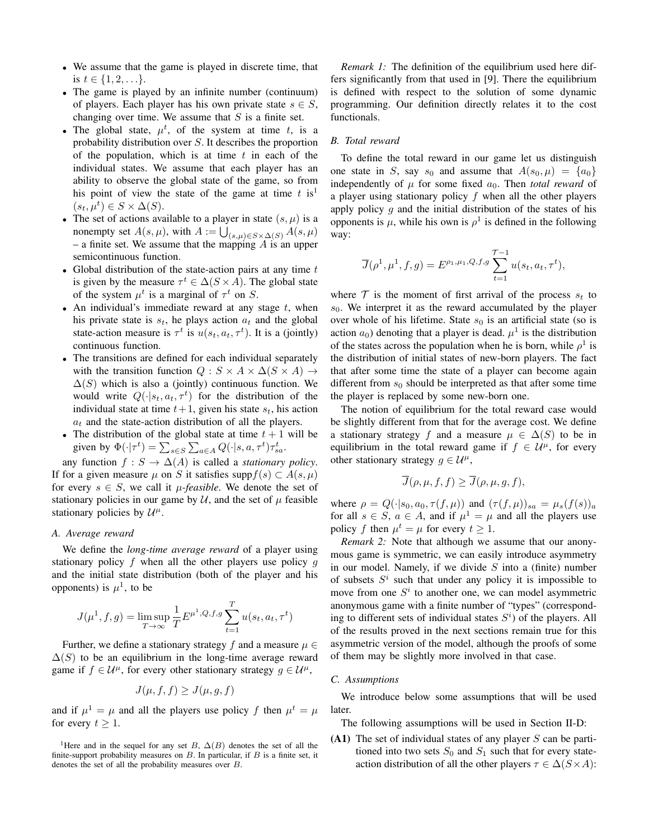- <sup>∙</sup> We assume that the game is played in discrete time, that is  $t \in \{1, 2, ...\}$ .
- <sup>∙</sup> The game is played by an infinite number (continuum) of players. Each player has his own private state  $s \in S$ , changing over time. We assume that  $S$  is a finite set.
- The global state,  $\mu^t$ , of the system at time t, is a probability distribution over  $S$ . It describes the proportion of the population, which is at time  $t$  in each of the individual states. We assume that each player has an ability to observe the global state of the game, so from his point of view the state of the game at time  $t$  is<sup>1</sup>  $(s_t, \mu^t) \in S \times \Delta(S).$
- The set of actions available to a player in state  $(s, \mu)$  is a nonempty set  $A(s, \mu)$ , with  $A := \bigcup_{(s,\mu) \in S \times \Delta(S)} A(s, \mu)$ – a finite set. We assume that the mapping  $\overrightarrow{A}$  is an upper semicontinuous function.
- Global distribution of the state-action pairs at any time  $t$ is given by the measure  $\tau^t \in \Delta(S \times A)$ . The global state of the system  $\mu^t$  is a marginal of  $\tau^t$  on S.
- An individual's immediate reward at any stage  $t$ , when his private state is  $s_t$ , he plays action  $a_t$  and the global state-action measure is  $\tau^t$  is  $u(s_t, a_t, \tau^t)$ . It is a (jointly) continuous function.
- <sup>∙</sup> The transitions are defined for each individual separately with the transition function  $Q : S \times A \times \Delta(S \times A) \rightarrow$  $\Delta(S)$  which is also a (jointly) continuous function. We would write  $Q(\cdot | s_t, a_t, \tau^t)$  for the distribution of the individual state at time  $t + 1$ , given his state  $s_t$ , his action  $a_t$  and the state-action distribution of all the players.
- The distribution of the global state at time  $t + 1$  will be given by  $\Phi(\cdot|\tau^t) = \sum_{s \in S} \sum_{a \in A} Q(\cdot|s, a, \tau^t) \tau_{sa}^t$ .

any function  $f : S \to \Delta(A)$  is called a *stationary policy*. If for a given measure  $\mu$  on S it satisfies supp $f(s) \subset A(s, \mu)$ for every  $s \in S$ , we call it  $\mu$ *-feasible*. We denote the set of stationary policies in our game by  $\mathcal{U}$ , and the set of  $\mu$  feasible stationary policies by  $\mathcal{U}^{\mu}$ .

#### *A. Average reward*

We define the *long-time average reward* of a player using stationary policy f when all the other players use policy q and the initial state distribution (both of the player and his opponents) is  $\mu^1$ , to be

$$
J(\mu^1, f, g) = \limsup_{T \to \infty} \frac{1}{T} E^{\mu^1, Q, f, g} \sum_{t=1}^T u(s_t, a_t, \tau^t)
$$

Further, we define a stationary strategy f and a measure  $\mu \in$  $\Delta(S)$  to be an equilibrium in the long-time average reward game if  $f \in \mathcal{U}^{\mu}$ , for every other stationary strategy  $g \in \mathcal{U}^{\mu}$ ,

$$
J(\mu, f, f) \ge J(\mu, g, f)
$$

and if  $\mu^1 = \mu$  and all the players use policy f then  $\mu^t = \mu$ for every  $t \geq 1$ .

<sup>1</sup>Here and in the sequel for any set B,  $\Delta(B)$  denotes the set of all the finite-support probability measures on  $B$ . In particular, if  $B$  is a finite set, it denotes the set of all the probability measures over  $B$ .

*Remark 1:* The definition of the equilibrium used here differs significantly from that used in [9]. There the equilibrium is defined with respect to the solution of some dynamic programming. Our definition directly relates it to the cost functionals.

#### *B. Total reward*

To define the total reward in our game let us distinguish one state in S, say  $s_0$  and assume that  $A(s_0, \mu) = \{a_0\}$ independently of  $\mu$  for some fixed  $a_0$ . Then *total reward* of a player using stationary policy  $f$  when all the other players apply policy  $q$  and the initial distribution of the states of his opponents is  $\mu$ , while his own is  $\rho^1$  is defined in the following way:

$$
\overline{J}(\rho^1, \mu^1, f, g) = E^{\rho_1, \mu_1, Q, f, g} \sum_{t=1}^{\mathcal{T}-1} u(s_t, a_t, \tau^t),
$$

where  $\mathcal T$  is the moment of first arrival of the process  $s_t$  to  $s_0$ . We interpret it as the reward accumulated by the player over whole of his lifetime. State  $s_0$  is an artificial state (so is action  $a_0$ ) denoting that a player is dead.  $\mu^1$  is the distribution of the states across the population when he is born, while  $\rho^1$  is the distribution of initial states of new-born players. The fact that after some time the state of a player can become again different from  $s_0$  should be interpreted as that after some time the player is replaced by some new-born one.

The notion of equilibrium for the total reward case would be slightly different from that for the average cost. We define a stationary strategy f and a measure  $\mu \in \Delta(S)$  to be in equilibrium in the total reward game if  $f \in \mathcal{U}^{\mu}$ , for every other stationary strategy  $g \in \mathcal{U}^{\mu}$ ,

$$
\overline{J}(\rho,\mu,f,f) \ge \overline{J}(\rho,\mu,g,f),
$$

where  $\rho = Q(\cdot|s_0, a_0, \tau(f, \mu))$  and  $(\tau(f, \mu))_{sa} = \mu_s(f(s))_a$ for all  $s \in S$ ,  $a \in A$ , and if  $\mu^1 = \mu$  and all the players use policy f then  $\mu^t = \mu$  for every  $t > 1$ .

*Remark 2:* Note that although we assume that our anonymous game is symmetric, we can easily introduce asymmetry in our model. Namely, if we divide  $S$  into a (finite) number of subsets  $S<sup>i</sup>$  such that under any policy it is impossible to move from one  $S^i$  to another one, we can model asymmetric anonymous game with a finite number of "types" (corresponding to different sets of individual states  $S<sup>i</sup>$  of the players. All of the results proved in the next sections remain true for this asymmetric version of the model, although the proofs of some of them may be slightly more involved in that case.

#### *C. Assumptions*

We introduce below some assumptions that will be used later.

The following assumptions will be used in Section II-D:

**(A1)** The set of individual states of any player  $S$  can be partitioned into two sets  $S_0$  and  $S_1$  such that for every stateaction distribution of all the other players  $\tau \in \Delta(S \times A)$ :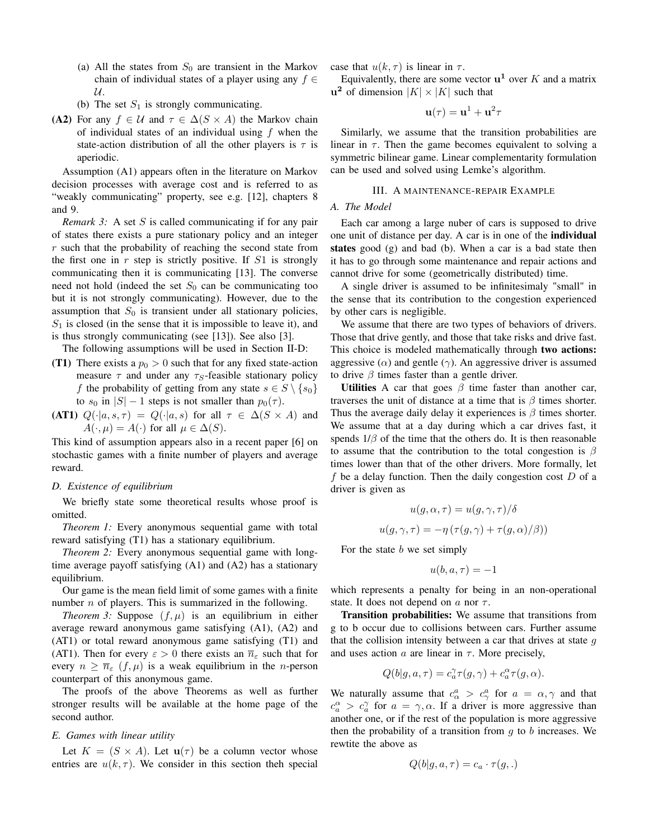- (a) All the states from  $S_0$  are transient in the Markov chain of individual states of a player using any  $f \in$  $\mathcal{U}.$
- (b) The set  $S_1$  is strongly communicating.
- **(A2)** For any  $f \in \mathcal{U}$  and  $\tau \in \Delta(S \times A)$  the Markov chain of individual states of an individual using  $f$  when the state-action distribution of all the other players is  $\tau$  is aperiodic.

Assumption (A1) appears often in the literature on Markov decision processes with average cost and is referred to as "weakly communicating" property, see e.g. [12], chapters 8 and 9.

*Remark 3:* A set  $S$  is called communicating if for any pair of states there exists a pure stationary policy and an integer  $r$  such that the probability of reaching the second state from the first one in  $r$  step is strictly positive. If  $S1$  is strongly communicating then it is communicating [13]. The converse need not hold (indeed the set  $S_0$  can be communicating too but it is not strongly communicating). However, due to the assumption that  $S_0$  is transient under all stationary policies,  $S_1$  is closed (in the sense that it is impossible to leave it), and is thus strongly communicating (see [13]). See also [3].

The following assumptions will be used in Section II-D:

- **(T1)** There exists a  $p_0 > 0$  such that for any fixed state-action measure  $\tau$  and under any  $\tau_s$ -feasible stationary policy f the probability of getting from any state  $s \in S \setminus \{s_0\}$ to  $s_0$  in  $|S| - 1$  steps is not smaller than  $p_0(\tau)$ .
- **(AT1)**  $Q(\cdot|a, s, \tau) = Q(\cdot|a, s)$  for all  $\tau \in \Delta(S \times A)$  and  $A(\cdot, \mu) = A(\cdot)$  for all  $\mu \in \Delta(S)$ .

This kind of assumption appears also in a recent paper [6] on stochastic games with a finite number of players and average reward.

#### *D. Existence of equilibrium*

We briefly state some theoretical results whose proof is omitted.

*Theorem 1:* Every anonymous sequential game with total reward satisfying (T1) has a stationary equilibrium.

*Theorem 2:* Every anonymous sequential game with longtime average payoff satisfying (A1) and (A2) has a stationary equilibrium.

Our game is the mean field limit of some games with a finite number  $n$  of players. This is summarized in the following.

*Theorem 3:* Suppose  $(f, \mu)$  is an equilibrium in either average reward anonymous game satisfying (A1), (A2) and (AT1) or total reward anonymous game satisfying (T1) and (AT1). Then for every  $\varepsilon > 0$  there exists an  $\overline{n}_{\varepsilon}$  such that for every  $n \geq \overline{n}_{\varepsilon}$  (f,  $\mu$ ) is a weak equilibrium in the *n*-person counterpart of this anonymous game.

The proofs of the above Theorems as well as further stronger results will be available at the home page of the second author.

#### *E. Games with linear utility*

Let  $K = (S \times A)$ . Let  $\mathbf{u}(\tau)$  be a column vector whose entries are  $u(k, \tau)$ . We consider in this section then special case that  $u(k, \tau)$  is linear in  $\tau$ .

Equivalently, there are some vector  $\mathbf{u}^1$  over K and a matrix **u**<sup>2</sup> of dimension  $|K| \times |K|$  such that

$$
\mathbf{u}(\tau) = \mathbf{u}^1 + \mathbf{u}^2 \tau
$$

Similarly, we assume that the transition probabilities are linear in  $\tau$ . Then the game becomes equivalent to solving a symmetric bilinear game. Linear complementarity formulation can be used and solved using Lemke's algorithm.

#### III. A MAINTENANCE-REPAIR EXAMPLE

#### *A. The Model*

Each car among a large nuber of cars is supposed to drive one unit of distance per day. A car is in one of the **individual states** good (g) and bad (b). When a car is a bad state then it has to go through some maintenance and repair actions and cannot drive for some (geometrically distributed) time.

A single driver is assumed to be infinitesimaly "small" in the sense that its contribution to the congestion experienced by other cars is negligible.

We assume that there are two types of behaviors of drivers. Those that drive gently, and those that take risks and drive fast. This choice is modeled mathematically through **two actions:** aggressive  $(\alpha)$  and gentle  $(\gamma)$ . An aggressive driver is assumed to drive  $\beta$  times faster than a gentle driver.

**Utilities** A car that goes  $\beta$  time faster than another car, traverses the unit of distance at a time that is  $\beta$  times shorter. Thus the average daily delay it experiences is  $\beta$  times shorter. We assume that at a day during which a car drives fast, it spends  $1/\beta$  of the time that the others do. It is then reasonable to assume that the contribution to the total congestion is  $\beta$ times lower than that of the other drivers. More formally, let f be a delay function. Then the daily congestion cost  $D$  of a driver is given as

$$
u(g, \alpha, \tau) = u(g, \gamma, \tau) / \delta
$$
  

$$
u(g, \gamma, \tau) = -\eta (\tau(g, \gamma) + \tau(g, \alpha) / \beta))
$$

For the state  $b$  we set simply

$$
u(b, a, \tau) = -1
$$

which represents a penalty for being in an non-operational state. It does not depend on  $a$  nor  $\tau$ .

**Transition probabilities:** We assume that transitions from g to b occur due to collisions between cars. Further assume that the collision intensity between a car that drives at state  $q$ and uses action  $a$  are linear in  $\tau$ . More precisely,

$$
Q(b|g,a,\tau)=c_a^\gamma\tau(g,\gamma)+c_a^\alpha\tau(g,\alpha).
$$

We naturally assume that  $c_{\alpha}^a > c_{\gamma}^a$  for  $a = \alpha, \gamma$  and that  $c_a^{\alpha} > c_a^{\gamma}$  for  $a = \gamma, \alpha$ . If a driver is more aggressive than another one, or if the rest of the population is more aggressive then the probability of a transition from  $g$  to  $b$  increases. We rewtite the above as

$$
Q(b|g, a, \tau) = c_a \cdot \tau(g, .)
$$